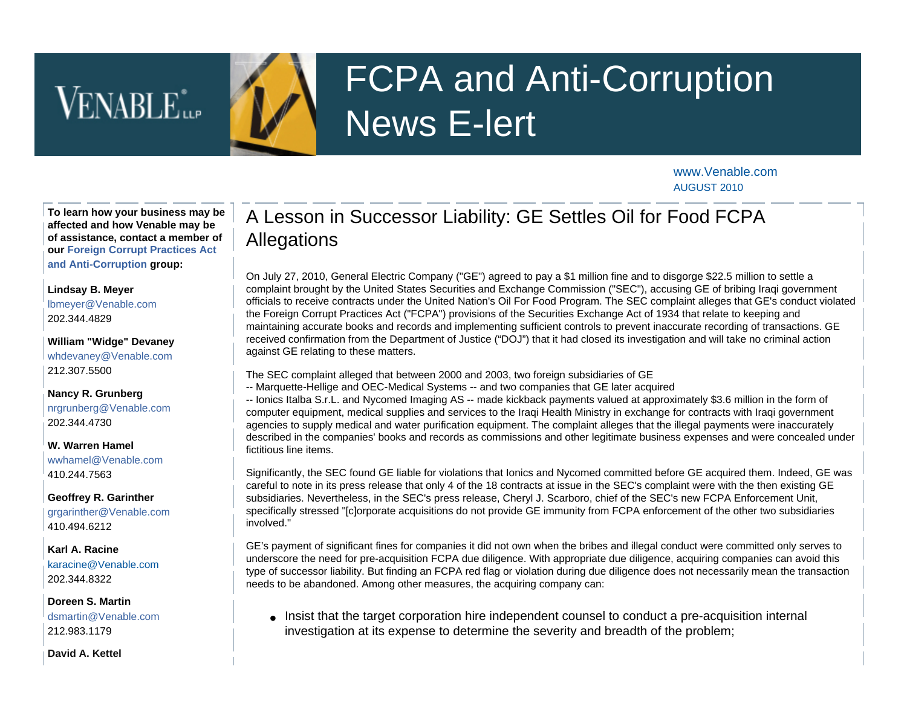# VENABLE<sup>\*</sup>

## FCPA and Anti-Corruption News E-lert

[www.Venable.com](http://www.venable.com/) AUGUST 2010

**To learn how your business may be affected and how Venable may be of assistance, contact a member of our [Foreign Corrupt Practices Act](http://www.venable.com/foreign-corrupt-practices-act-and-anti-corruption-practices/)  [and Anti-Corruption](http://www.venable.com/foreign-corrupt-practices-act-and-anti-corruption-practices/) group:**

#### **[Lindsay B. Meyer](http://www.venable.com/lindsay-b-meyer/)**

[lbmeyer@Venable.com](mailto:lbmeyer@Venable.com) 202.344.4829

**[William "Widge" Devaney](http://www.venable.com/william-h-devaney/)** [whdevaney@Venable.com](mailto:whdevaney@Venable.com) 212.307.5500

**[Nancy R. Grunberg](http://www.venable.com/Nancy-R-Grunberg)** [nrgrunberg@Venable.com](mailto:nrgrunberg@Venable.com) 202.344.4730

**[W. Warren Hamel](http://www.venable.com/W-Warren-Hamel)** [wwhamel@Venable.com](mailto:wwhamel@Venable.com)

410.244.7563

**[Geoffrey R. Garinther](http://www.venable.com/geoffrey-r-garinther)** [grgarinther@Venable.com](mailto:grgarinther@Venable.com) 410.494.6212

#### **[Karl A. Racine](http://www.venable.com/karl-a-racine)** [karacine@Venable.com](mailto:karacine@Venable.com)

202.344.8322

**[Doreen S. Martin](http://www.venable.com/doreen-s-martin/)**  [dsmartin@Venable.com](mailto:dsmartin@Venable.com) 212.983.1179

**[David A. Kettel](http://www.venable.com/david-a-kettel/)** 

### A Lesson in Successor Liability: GE Settles Oil for Food FCPA Allegations

On July 27, 2010, General Electric Company ("GE") agreed to pay a \$1 million fine and to disgorge \$22.5 million to settle a complaint brought by the United States Securities and Exchange Commission ("SEC"), accusing GE of bribing Iraqi government officials to receive contracts under the United Nation's Oil For Food Program. The SEC complaint alleges that GE's conduct violated the Foreign Corrupt Practices Act ("FCPA") provisions of the Securities Exchange Act of 1934 that relate to keeping and maintaining accurate books and records and implementing sufficient controls to prevent inaccurate recording of transactions. GE received confirmation from the Department of Justice ("DOJ") that it had closed its investigation and will take no criminal action against GE relating to these matters.

The SEC complaint alleged that between 2000 and 2003, two foreign subsidiaries of GE

-- Marquette-Hellige and OEC-Medical Systems -- and two companies that GE later acquired

-- Ionics Italba S.r.L. and Nycomed Imaging AS -- made kickback payments valued at approximately \$3.6 million in the form of computer equipment, medical supplies and services to the Iraqi Health Ministry in exchange for contracts with Iraqi government agencies to supply medical and water purification equipment. The complaint alleges that the illegal payments were inaccurately described in the companies' books and records as commissions and other legitimate business expenses and were concealed under fictitious line items.

Significantly, the SEC found GE liable for violations that Ionics and Nycomed committed before GE acquired them. Indeed, GE was careful to note in its press release that only 4 of the 18 contracts at issue in the SEC's complaint were with the then existing GE subsidiaries. Nevertheless, in the SEC's press release, Cheryl J. Scarboro, chief of the SEC's new FCPA Enforcement Unit, specifically stressed "[c]orporate acquisitions do not provide GE immunity from FCPA enforcement of the other two subsidiaries involved."

GE's payment of significant fines for companies it did not own when the bribes and illegal conduct were committed only serves to underscore the need for pre-acquisition FCPA due diligence. With appropriate due diligence, acquiring companies can avoid this type of successor liability. But finding an FCPA red flag or violation during due diligence does not necessarily mean the transaction needs to be abandoned. Among other measures, the acquiring company can:

• Insist that the target corporation hire independent counsel to conduct a pre-acquisition internal investigation at its expense to determine the severity and breadth of the problem;